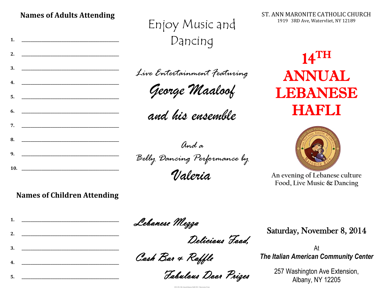**Names of Adults Attending**

**1. \_\_\_\_\_\_\_\_\_\_\_\_\_\_\_\_\_\_\_\_\_\_\_\_\_\_\_\_\_\_\_\_\_\_\_\_\_\_\_\_\_\_\_\_\_\_\_\_\_\_\_\_\_\_**

**2. \_\_\_\_\_\_\_\_\_\_\_\_\_\_\_\_\_\_\_\_\_\_\_\_\_\_\_\_\_\_\_\_\_\_\_\_\_\_\_\_\_\_\_\_\_\_\_\_\_\_\_\_\_\_**

**3. \_\_\_\_\_\_\_\_\_\_\_\_\_\_\_\_\_\_\_\_\_\_\_\_\_\_\_\_\_\_\_\_\_\_\_\_\_\_\_\_\_\_\_\_\_\_\_\_\_\_\_\_\_\_**

**4. \_\_\_\_\_\_\_\_\_\_\_\_\_\_\_\_\_\_\_\_\_\_\_\_\_\_\_\_\_\_\_\_\_\_\_\_\_\_\_\_\_\_\_\_\_\_\_\_\_\_\_\_\_\_**

**5. \_\_\_\_\_\_\_\_\_\_\_\_\_\_\_\_\_\_\_\_\_\_\_\_\_\_\_\_\_\_\_\_\_\_\_\_\_\_\_\_\_\_\_\_\_\_\_\_\_\_\_\_\_\_**

**6. \_\_\_\_\_\_\_\_\_\_\_\_\_\_\_\_\_\_\_\_\_\_\_\_\_\_\_\_\_\_\_\_\_\_\_\_\_\_\_\_\_\_\_\_\_\_\_\_\_\_\_\_\_\_**

**7. \_\_\_\_\_\_\_\_\_\_\_\_\_\_\_\_\_\_\_\_\_\_\_\_\_\_\_\_\_\_\_\_\_\_\_\_\_\_\_\_\_\_\_\_\_\_\_\_\_\_\_\_\_\_**

**8. \_\_\_\_\_\_\_\_\_\_\_\_\_\_\_\_\_\_\_\_\_\_\_\_\_\_\_\_\_\_\_\_\_\_\_\_\_\_\_\_\_\_\_\_\_\_\_\_\_\_\_\_\_\_**

**9. \_\_\_\_\_\_\_\_\_\_\_\_\_\_\_\_\_\_\_\_\_\_\_\_\_\_\_\_\_\_\_\_\_\_\_\_\_\_\_\_\_\_\_\_\_\_\_\_\_\_\_\_\_\_**

**10. \_\_\_\_\_\_\_\_\_\_\_\_\_\_\_\_\_\_\_\_\_\_\_\_\_\_\_\_\_\_\_\_\_\_\_\_\_\_\_\_\_\_\_\_\_\_\_\_\_\_\_\_\_\_**

## Enjoy Music and Dancing

*Live Entertainment Featuring*

*George Maaloof*

*and his ensemble*

*And a*

*Belly Dancing Performance by*

*Valeria*

14 TH ANNUAL LEBANESE HAFLI

ST. ANN MARONITE CATHOLIC CHURCH 1919 3RD Ave, Watervliet, NY 12189

**An evening of Lebanese culture Food, Live Music & Dancing**

#### **Names of Children Attending**

**1. \_\_\_\_\_\_\_\_\_\_\_\_\_\_\_\_\_\_\_\_\_\_\_\_\_\_\_\_\_\_\_\_\_\_\_\_\_\_\_\_\_\_\_\_\_\_\_\_\_\_\_\_\_\_**

**2. \_\_\_\_\_\_\_\_\_\_\_\_\_\_\_\_\_\_\_\_\_\_\_\_\_\_\_\_\_\_\_\_\_\_\_\_\_\_\_\_\_\_\_\_\_\_\_\_\_\_\_\_\_\_**

**3. \_\_\_\_\_\_\_\_\_\_\_\_\_\_\_\_\_\_\_\_\_\_\_\_\_\_\_\_\_\_\_\_\_\_\_\_\_\_\_\_\_\_\_\_\_\_\_\_\_\_\_\_\_\_**

**4. \_\_\_\_\_\_\_\_\_\_\_\_\_\_\_\_\_\_\_\_\_\_\_\_\_\_\_\_\_\_\_\_\_\_\_\_\_\_\_\_\_\_\_\_\_\_\_\_\_\_\_\_\_\_**

Lebanese Mezza

Delicious Food,

Cash Bar & Raffle

Fabulous Door Prizes

2014-236 14th Annual lebanese Hafli 2014 - Reservation Form

Saturday, November 8, 2014

At *The Italian American Community Center*

> 257 Washington Ave Extension, Albany, NY 12205

**5. \_\_\_\_\_\_\_\_\_\_\_\_\_\_\_\_\_\_\_\_\_\_\_\_\_\_\_\_\_\_\_\_\_\_\_\_\_\_\_\_\_\_\_\_\_\_\_\_\_\_\_\_\_\_**